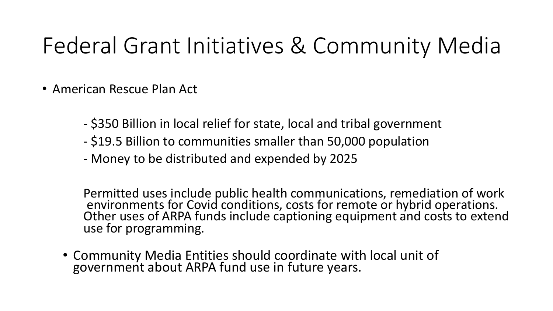## Federal Grant Initiatives & Community Media

- American Rescue Plan Act
	- \$350 Billion in local relief for state, local and tribal government
	- \$19.5 Billion to communities smaller than 50,000 population
	- Money to be distributed and expended by 2025

Permitted uses include public health communications, remediation of work environments for Covid conditions, costs for remote or hybrid operations. Other uses of ARPA funds include captioning equipment and costs to extend use for programming.

• Community Media Entities should coordinate with local unit of government about ARPA fund use in future years.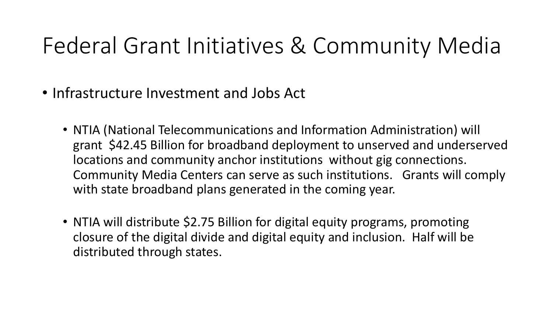## Federal Grant Initiatives & Community Media

- Infrastructure Investment and Jobs Act
	- NTIA (National Telecommunications and Information Administration) will grant \$42.45 Billion for broadband deployment to unserved and underserved locations and community anchor institutions without gig connections. Community Media Centers can serve as such institutions. Grants will comply with state broadband plans generated in the coming year.
	- NTIA will distribute \$2.75 Billion for digital equity programs, promoting closure of the digital divide and digital equity and inclusion. Half will be distributed through states.